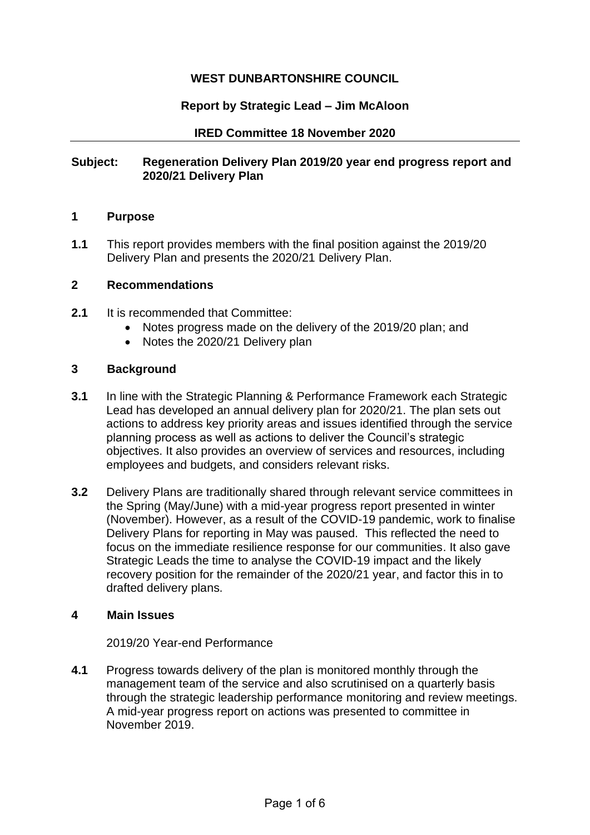# **WEST DUNBARTONSHIRE COUNCIL**

## **Report by Strategic Lead – Jim McAloon**

### **IRED Committee 18 November 2020**

## **Subject: Regeneration Delivery Plan 2019/20 year end progress report and 2020/21 Delivery Plan**

## **1 Purpose**

**1.1** This report provides members with the final position against the 2019/20 Delivery Plan and presents the 2020/21 Delivery Plan.

### **2 Recommendations**

- **2.1** It is recommended that Committee:
	- Notes progress made on the delivery of the 2019/20 plan; and
	- Notes the 2020/21 Delivery plan

### **3 Background**

- **3.1** In line with the Strategic Planning & Performance Framework each Strategic Lead has developed an annual delivery plan for 2020/21. The plan sets out actions to address key priority areas and issues identified through the service planning process as well as actions to deliver the Council's strategic objectives. It also provides an overview of services and resources, including employees and budgets, and considers relevant risks.
- **3.2** Delivery Plans are traditionally shared through relevant service committees in the Spring (May/June) with a mid-year progress report presented in winter (November). However, as a result of the COVID-19 pandemic, work to finalise Delivery Plans for reporting in May was paused. This reflected the need to focus on the immediate resilience response for our communities. It also gave Strategic Leads the time to analyse the COVID-19 impact and the likely recovery position for the remainder of the 2020/21 year, and factor this in to drafted delivery plans.

## **4 Main Issues**

#### 2019/20 Year-end Performance

**4.1** Progress towards delivery of the plan is monitored monthly through the management team of the service and also scrutinised on a quarterly basis through the strategic leadership performance monitoring and review meetings. A mid-year progress report on actions was presented to committee in November 2019.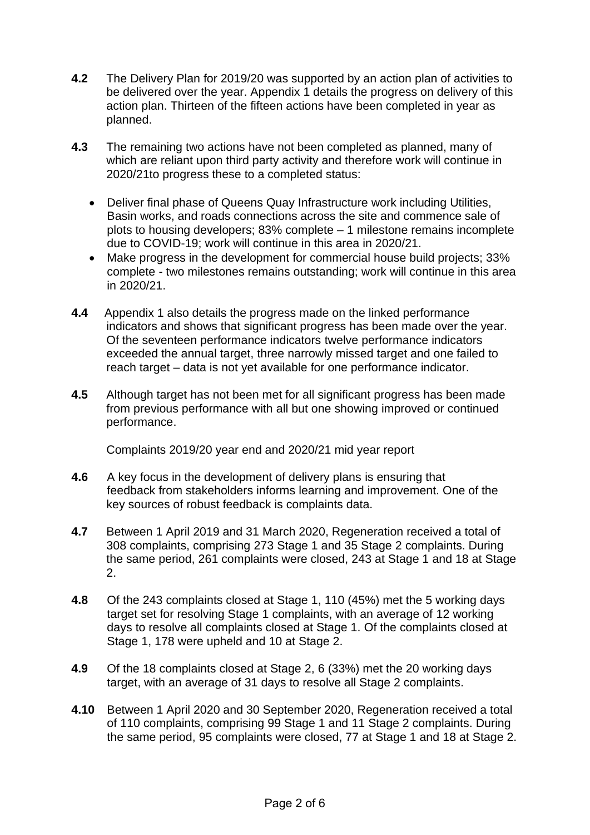- **4.2** The Delivery Plan for 2019/20 was supported by an action plan of activities to be delivered over the year. Appendix 1 details the progress on delivery of this action plan. Thirteen of the fifteen actions have been completed in year as planned.
- **4.3** The remaining two actions have not been completed as planned, many of which are reliant upon third party activity and therefore work will continue in 2020/21to progress these to a completed status:
	- Deliver final phase of Queens Quay Infrastructure work including Utilities, Basin works, and roads connections across the site and commence sale of plots to housing developers; 83% complete – 1 milestone remains incomplete due to COVID-19; work will continue in this area in 2020/21.
	- Make progress in the development for commercial house build projects; 33% complete - two milestones remains outstanding; work will continue in this area in 2020/21.
- **4.4** Appendix 1 also details the progress made on the linked performance indicators and shows that significant progress has been made over the year. Of the seventeen performance indicators twelve performance indicators exceeded the annual target, three narrowly missed target and one failed to reach target – data is not yet available for one performance indicator.
- **4.5** Although target has not been met for all significant progress has been made from previous performance with all but one showing improved or continued performance.

Complaints 2019/20 year end and 2020/21 mid year report

- **4.6** A key focus in the development of delivery plans is ensuring that feedback from stakeholders informs learning and improvement. One of the key sources of robust feedback is complaints data.
- **4.7** Between 1 April 2019 and 31 March 2020, Regeneration received a total of 308 complaints, comprising 273 Stage 1 and 35 Stage 2 complaints. During the same period, 261 complaints were closed, 243 at Stage 1 and 18 at Stage 2.
- **4.8** Of the 243 complaints closed at Stage 1, 110 (45%) met the 5 working days target set for resolving Stage 1 complaints, with an average of 12 working days to resolve all complaints closed at Stage 1. Of the complaints closed at Stage 1, 178 were upheld and 10 at Stage 2.
- **4.9** Of the 18 complaints closed at Stage 2, 6 (33%) met the 20 working days target, with an average of 31 days to resolve all Stage 2 complaints.
- **4.10** Between 1 April 2020 and 30 September 2020, Regeneration received a total of 110 complaints, comprising 99 Stage 1 and 11 Stage 2 complaints. During the same period, 95 complaints were closed, 77 at Stage 1 and 18 at Stage 2.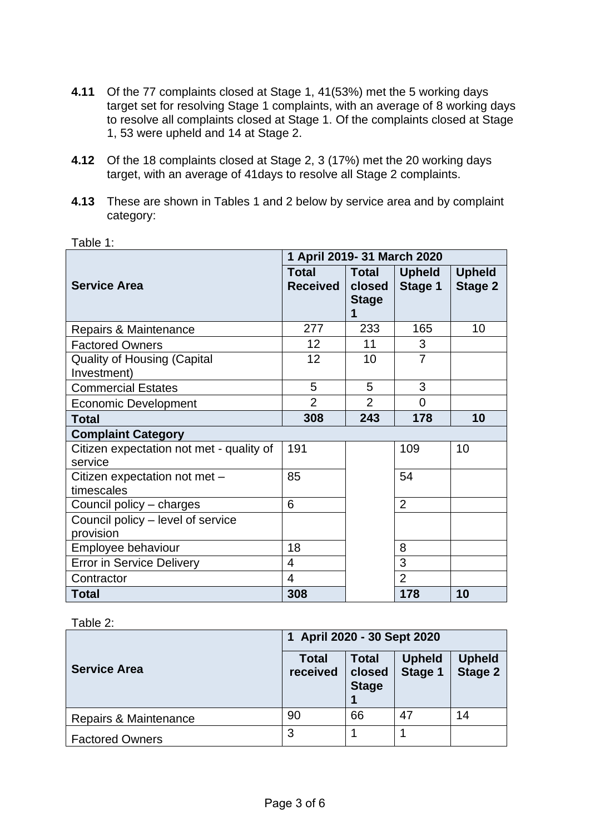- **4.11** Of the 77 complaints closed at Stage 1, 41(53%) met the 5 working days target set for resolving Stage 1 complaints, with an average of 8 working days to resolve all complaints closed at Stage 1. Of the complaints closed at Stage 1, 53 were upheld and 14 at Stage 2.
- **4.12** Of the 18 complaints closed at Stage 2, 3 (17%) met the 20 working days target, with an average of 41days to resolve all Stage 2 complaints.
- **4.13** These are shown in Tables 1 and 2 below by service area and by complaint category:

|                                                     | 1 April 2019- 31 March 2020     |                                             |                          |                                 |
|-----------------------------------------------------|---------------------------------|---------------------------------------------|--------------------------|---------------------------------|
| <b>Service Area</b>                                 | <b>Total</b><br><b>Received</b> | <b>Total</b><br>closed<br><b>Stage</b><br>1 | <b>Upheld</b><br>Stage 1 | <b>Upheld</b><br><b>Stage 2</b> |
| Repairs & Maintenance                               | 277                             | 233                                         | 165                      | 10                              |
| <b>Factored Owners</b>                              | 12                              | 11                                          | 3                        |                                 |
| <b>Quality of Housing (Capital</b><br>Investment)   | 12                              | 10                                          | $\overline{7}$           |                                 |
| <b>Commercial Estates</b>                           | 5                               | 5                                           | 3                        |                                 |
| <b>Economic Development</b>                         | $\overline{2}$                  | $\overline{2}$                              | 0                        |                                 |
| <b>Total</b>                                        | 308                             | 243                                         | 178                      | 10                              |
| <b>Complaint Category</b>                           |                                 |                                             |                          |                                 |
| Citizen expectation not met - quality of<br>service | 191                             |                                             | 109                      | 10                              |
| Citizen expectation not met -<br>timescales         | 85                              |                                             | 54                       |                                 |
| Council policy - charges                            | 6                               |                                             | $\overline{2}$           |                                 |
| Council policy - level of service<br>provision      |                                 |                                             |                          |                                 |
| Employee behaviour                                  | 18                              |                                             | 8                        |                                 |
| <b>Error in Service Delivery</b>                    | 4                               |                                             | 3                        |                                 |
| Contractor                                          | $\overline{4}$                  |                                             | $\overline{2}$           |                                 |
| <b>Total</b>                                        | 308                             |                                             | 178                      | 10                              |

Table 1:

#### Table 2:

|                        | 1 April 2020 - 30 Sept 2020 |                                        |                          |                                 |
|------------------------|-----------------------------|----------------------------------------|--------------------------|---------------------------------|
| <b>Service Area</b>    | <b>Total</b><br>received    | <b>Total</b><br>closed<br><b>Stage</b> | <b>Upheld</b><br>Stage 1 | <b>Upheld</b><br><b>Stage 2</b> |
| Repairs & Maintenance  | 90                          | 66                                     | 47                       | 14                              |
| <b>Factored Owners</b> | 3                           |                                        |                          |                                 |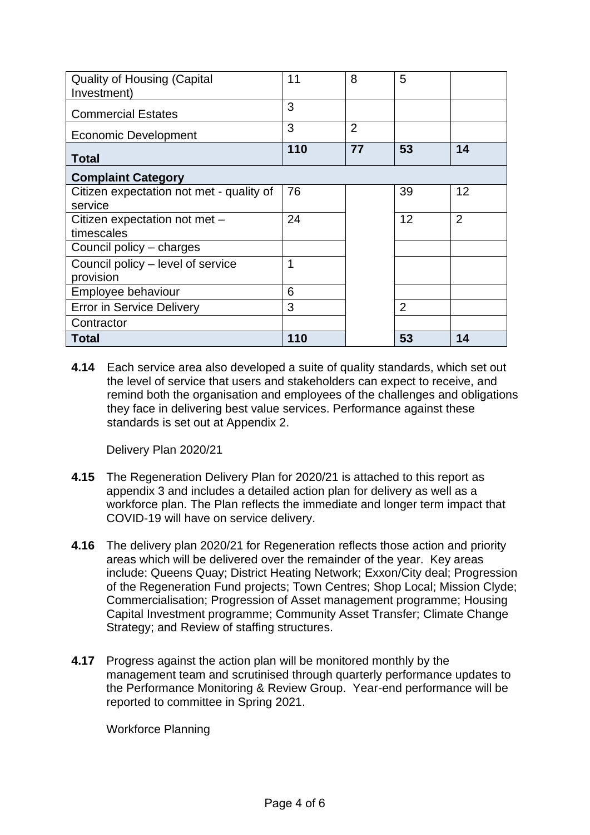| <b>Quality of Housing (Capital</b><br>Investment) | 11  | 8              | 5              |                |
|---------------------------------------------------|-----|----------------|----------------|----------------|
| <b>Commercial Estates</b>                         | 3   |                |                |                |
| Economic Development                              | 3   | $\overline{2}$ |                |                |
| <b>Total</b>                                      | 110 | 77             | 53             | 14             |
| <b>Complaint Category</b>                         |     |                |                |                |
| Citizen expectation not met - quality of          | 76  |                | 39             | 12             |
| service                                           |     |                |                |                |
| Citizen expectation not met -                     | 24  |                | 12             | $\overline{2}$ |
| timescales                                        |     |                |                |                |
| Council policy – charges                          |     |                |                |                |
| Council policy - level of service                 | 1   |                |                |                |
| provision                                         |     |                |                |                |
| Employee behaviour                                | 6   |                |                |                |
| <b>Error in Service Delivery</b>                  | 3   |                | $\overline{2}$ |                |
| Contractor                                        |     |                |                |                |
| <b>Total</b>                                      | 110 |                | 53             | 14             |

**4.14** Each service area also developed a suite of quality standards, which set out the level of service that users and stakeholders can expect to receive, and remind both the organisation and employees of the challenges and obligations they face in delivering best value services. Performance against these standards is set out at Appendix 2.

Delivery Plan 2020/21

- **4.15** The Regeneration Delivery Plan for 2020/21 is attached to this report as appendix 3 and includes a detailed action plan for delivery as well as a workforce plan. The Plan reflects the immediate and longer term impact that COVID-19 will have on service delivery.
- **4.16** The delivery plan 2020/21 for Regeneration reflects those action and priority areas which will be delivered over the remainder of the year. Key areas include: Queens Quay; District Heating Network; Exxon/City deal; Progression of the Regeneration Fund projects; Town Centres; Shop Local; Mission Clyde; Commercialisation; Progression of Asset management programme; Housing Capital Investment programme; Community Asset Transfer; Climate Change Strategy; and Review of staffing structures.
- **4.17** Progress against the action plan will be monitored monthly by the management team and scrutinised through quarterly performance updates to the Performance Monitoring & Review Group. Year-end performance will be reported to committee in Spring 2021.

Workforce Planning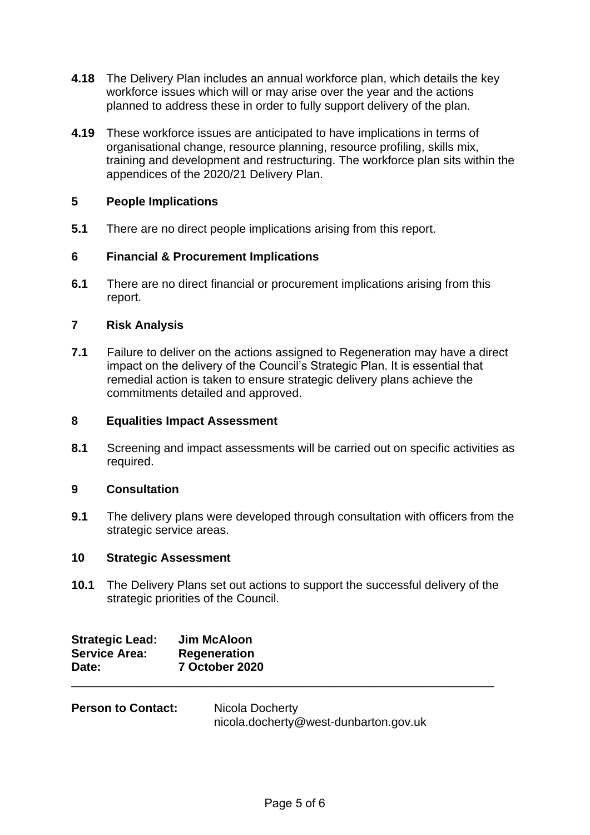- **4.18** The Delivery Plan includes an annual workforce plan, which details the key workforce issues which will or may arise over the year and the actions planned to address these in order to fully support delivery of the plan.
- **4.19** These workforce issues are anticipated to have implications in terms of organisational change, resource planning, resource profiling, skills mix, training and development and restructuring. The workforce plan sits within the appendices of the 2020/21 Delivery Plan.

## **5 People Implications**

**5.1** There are no direct people implications arising from this report.

## **6 Financial & Procurement Implications**

**6.1** There are no direct financial or procurement implications arising from this report.

## **7 Risk Analysis**

**7.1** Failure to deliver on the actions assigned to Regeneration may have a direct impact on the delivery of the Council's Strategic Plan. It is essential that remedial action is taken to ensure strategic delivery plans achieve the commitments detailed and approved.

#### **8 Equalities Impact Assessment**

**8.1** Screening and impact assessments will be carried out on specific activities as required.

## **9 Consultation**

**9.1** The delivery plans were developed through consultation with officers from the strategic service areas.

#### **10 Strategic Assessment**

**10.1** The Delivery Plans set out actions to support the successful delivery of the strategic priorities of the Council.

| <b>Strategic Lead:</b> | Jim McAloon         |  |
|------------------------|---------------------|--|
| <b>Service Area:</b>   | <b>Regeneration</b> |  |
| Date:                  | 7 October 2020      |  |
|                        |                     |  |

| <b>Person to Contact:</b> | Nicola Docherty                       |
|---------------------------|---------------------------------------|
|                           | nicola.docherty@west-dunbarton.gov.uk |